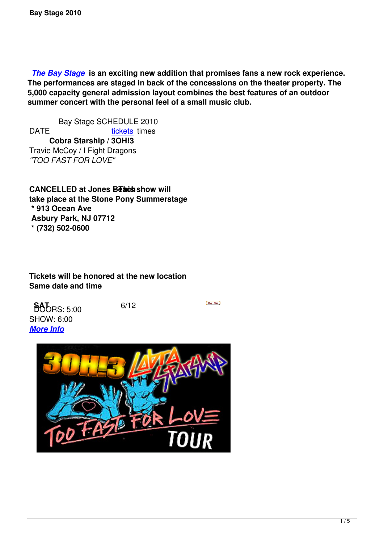*The Bay Stage* **is an exciting new addition that promises fans a new rock experience. The performances are staged in back of the concessions on the theater property. The 5,000 capacity general admission layout combines the best features of an outdoor [summer concer](http://tickets.jonesbeach.com/ResultsVenue.aspx?venid=11149)t with the personal feel of a small music club.**

 Bay Stage SCHEDULE 2010 DATE tickets times **Cobra Starship / 3OH!3** Travie McCoy / I Fight Dragons *"TOO FAST FOR LOV[E"](http://tickets.jonesbeach.com/)*

**CANCELLED at Jones Beach show will take place at the Stone Pony Summerstage \* 913 Ocean Ave Asbury Park, NJ 07712 \* (732) 502-0600**

**Tickets will be honored at the new location Same date and time**

 $6/12$  6/12 SHOW: 6:00 *More Info*

Buy Tix

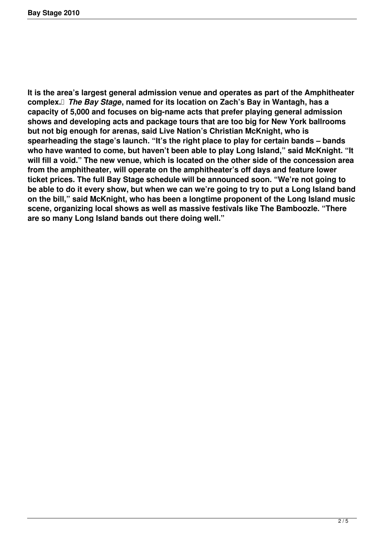**It is the area's largest general admission venue and operates as part of the Amphitheater complex.** *The Bay Stage***, named for its location on Zach's Bay in Wantagh, has a capacity of 5,000 and focuses on big-name acts that prefer playing general admission shows and developing acts and package tours that are too big for New York ballrooms but not big enough for arenas, said Live Nation's Christian McKnight, who is spearheading the stage's launch. "It's the right place to play for certain bands – bands who have wanted to come, but haven't been able to play Long Island," said McKnight. "It will fill a void." The new venue, which is located on the other side of the concession area from the amphitheater, will operate on the amphitheater's off days and feature lower ticket prices. The full Bay Stage schedule will be announced soon. "We're not going to be able to do it every show, but when we can we're going to try to put a Long Island band on the bill," said McKnight, who has been a longtime proponent of the Long Island music scene, organizing local shows as well as massive festivals like The Bamboozle. "There are so many Long Island bands out there doing well."**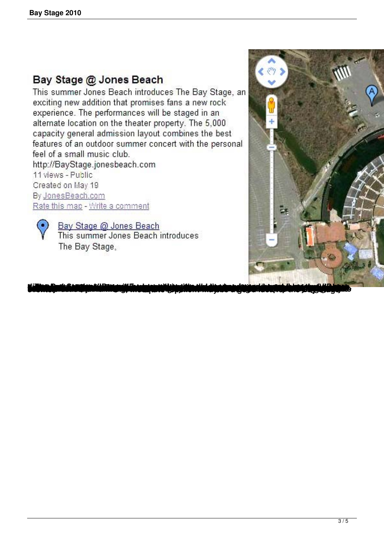## Bay Stage @ Jones Beach

This summer Jones Beach introduces The Bay Stage, an exciting new addition that promises fans a new rock experience. The performances will be staged in an alternate location on the theater property. The 5,000 capacity general admission layout combines the best features of an outdoor summer concert with the personal feel of a small music club.

http://BayStage.jonesbeach.com 11 views - Public Created on May 19 By Jones Beach.com Rate this map - Write a comment



Bay Stage @ Jones Beach This summer Jones Beach introduces The Bay Stage,

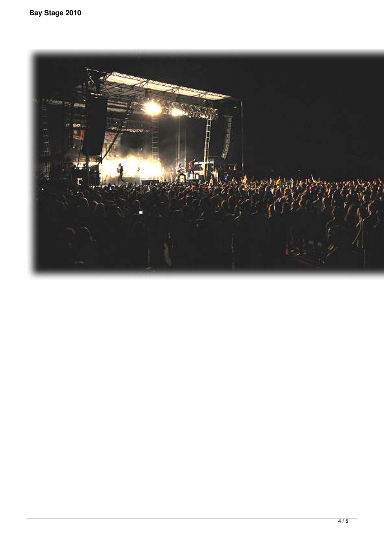